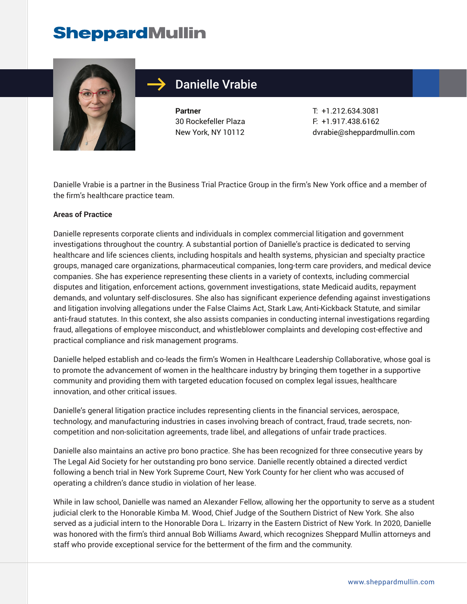# **SheppardMullin**



## Danielle Vrabie

**Partner** 30 Rockefeller Plaza New York, NY 10112

T: +1.212.634.3081 F: +1.917.438.6162 dvrabie@sheppardmullin.com

Danielle Vrabie is a partner in the Business Trial Practice Group in the firm's New York office and a member of the firm's healthcare practice team.

#### **Areas of Practice**

Danielle represents corporate clients and individuals in complex commercial litigation and government investigations throughout the country. A substantial portion of Danielle's practice is dedicated to serving healthcare and life sciences clients, including hospitals and health systems, physician and specialty practice groups, managed care organizations, pharmaceutical companies, long-term care providers, and medical device companies. She has experience representing these clients in a variety of contexts, including commercial disputes and litigation, enforcement actions, government investigations, state Medicaid audits, repayment demands, and voluntary self-disclosures. She also has significant experience defending against investigations and litigation involving allegations under the False Claims Act, Stark Law, Anti-Kickback Statute, and similar anti-fraud statutes. In this context, she also assists companies in conducting internal investigations regarding fraud, allegations of employee misconduct, and whistleblower complaints and developing cost-effective and practical compliance and risk management programs.

Danielle helped establish and co-leads the firm's Women in Healthcare Leadership Collaborative, whose goal is to promote the advancement of women in the healthcare industry by bringing them together in a supportive community and providing them with targeted education focused on complex legal issues, healthcare innovation, and other critical issues.

Danielle's general litigation practice includes representing clients in the financial services, aerospace, technology, and manufacturing industries in cases involving breach of contract, fraud, trade secrets, noncompetition and non-solicitation agreements, trade libel, and allegations of unfair trade practices.

Danielle also maintains an active pro bono practice. She has been recognized for three consecutive years by The Legal Aid Society for her outstanding pro bono service. Danielle recently obtained a directed verdict following a bench trial in New York Supreme Court, New York County for her client who was accused of operating a children's dance studio in violation of her lease.

While in law school, Danielle was named an Alexander Fellow, allowing her the opportunity to serve as a student judicial clerk to the Honorable Kimba M. Wood, Chief Judge of the Southern District of New York. She also served as a judicial intern to the Honorable Dora L. Irizarry in the Eastern District of New York. In 2020, Danielle was honored with the firm's third annual Bob Williams Award, which recognizes Sheppard Mullin attorneys and staff who provide exceptional service for the betterment of the firm and the community.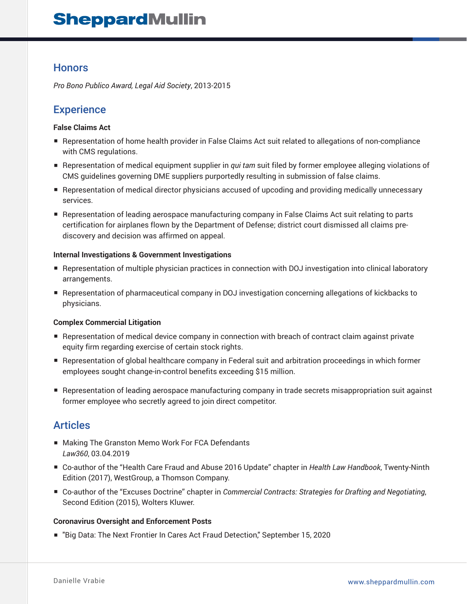## **SheppardMullin**

## **Honors**

*Pro Bono Publico Award, Legal Aid Society*, 2013-2015

## **Experience**

#### **False Claims Act**

- Representation of home health provider in False Claims Act suit related to allegations of non-compliance with CMS regulations.
- Representation of medical equipment supplier in *qui tam* suit filed by former employee alleging violations of CMS guidelines governing DME suppliers purportedly resulting in submission of false claims.
- Representation of medical director physicians accused of upcoding and providing medically unnecessary services.
- Representation of leading aerospace manufacturing company in False Claims Act suit relating to parts certification for airplanes flown by the Department of Defense; district court dismissed all claims prediscovery and decision was affirmed on appeal.

#### **Internal Investigations & Government Investigations**

- Representation of multiple physician practices in connection with DOJ investigation into clinical laboratory arrangements.
- Representation of pharmaceutical company in DOJ investigation concerning allegations of kickbacks to physicians.

#### **Complex Commercial Litigation**

- Representation of medical device company in connection with breach of contract claim against private equity firm regarding exercise of certain stock rights.
- Representation of global healthcare company in Federal suit and arbitration proceedings in which former employees sought change-in-control benefits exceeding \$15 million.
- Representation of leading aerospace manufacturing company in trade secrets misappropriation suit against former employee who secretly agreed to join direct competitor.

## **Articles**

- Making The Granston Memo Work For FCA Defendants *Law360*, 03.04.2019
- Co-author of the "Health Care Fraud and Abuse 2016 Update" chapter in *Health Law Handbook*, Twenty-Ninth Edition (2017), WestGroup, a Thomson Company.
- Co-author of the "Excuses Doctrine" chapter in *Commercial Contracts: Strategies for Drafting and Negotiating*, Second Edition (2015), Wolters Kluwer.

#### **Coronavirus Oversight and Enforcement Posts**

■ "Big Data: The Next Frontier In Cares Act Fraud Detection," September 15, 2020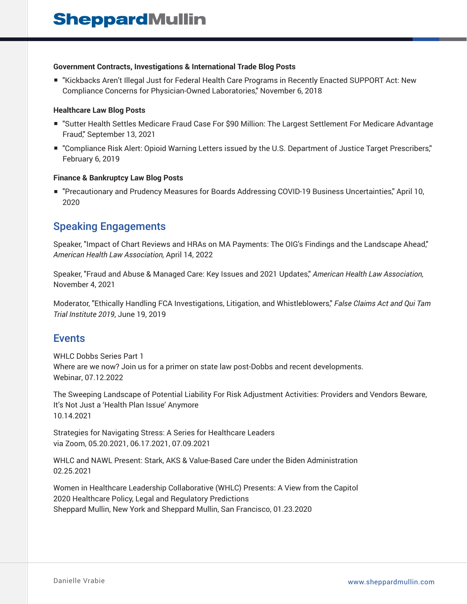#### **Government Contracts, Investigations & International Trade Blog Posts**

■ "Kickbacks Aren't Illegal Just for Federal Health Care Programs in Recently Enacted SUPPORT Act: New Compliance Concerns for Physician-Owned Laboratories," November 6, 2018

#### **Healthcare Law Blog Posts**

- "Sutter Health Settles Medicare Fraud Case For \$90 Million: The Largest Settlement For Medicare Advantage Fraud," September 13, 2021
- "Compliance Risk Alert: Opioid Warning Letters issued by the U.S. Department of Justice Target Prescribers," February 6, 2019

#### **Finance & Bankruptcy Law Blog Posts**

■ "Precautionary and Prudency Measures for Boards Addressing COVID-19 Business Uncertainties," April 10, 2020

## Speaking Engagements

Speaker, "Impact of Chart Reviews and HRAs on MA Payments: The OIG's Findings and the Landscape Ahead," *American Health Law Association,* April 14, 2022

Speaker, "Fraud and Abuse & Managed Care: Key Issues and 2021 Updates," *American Health Law Association,* November 4, 2021

Moderator, "Ethically Handling FCA Investigations, Litigation, and Whistleblowers," *False Claims Act and Qui Tam Trial Institute 2019*, June 19, 2019

### **Events**

WHLC Dobbs Series Part 1 Where are we now? Join us for a primer on state law post-Dobbs and recent developments. Webinar, 07.12.2022

The Sweeping Landscape of Potential Liability For Risk Adjustment Activities: Providers and Vendors Beware, It's Not Just a 'Health Plan Issue' Anymore 10.14.2021

Strategies for Navigating Stress: A Series for Healthcare Leaders via Zoom, 05.20.2021, 06.17.2021, 07.09.2021

WHLC and NAWL Present: Stark, AKS & Value-Based Care under the Biden Administration 02.25.2021

Women in Healthcare Leadership Collaborative (WHLC) Presents: A View from the Capitol 2020 Healthcare Policy, Legal and Regulatory Predictions Sheppard Mullin, New York and Sheppard Mullin, San Francisco, 01.23.2020